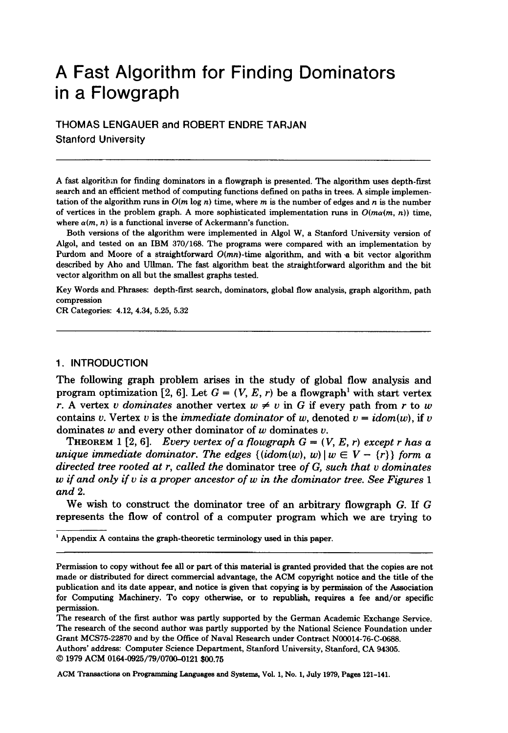# **A Fast Algorithm for Finding Dominators in a Flowgraph**

THOMAS LENGAUER and ROBERT ENDRE TAR JAN Stanford University

A fast algoritbm for finding dominators in a flowgraph is presented. The algorithm uses depth-first search and an efficient method of computing functions defined on paths in trees. A simple implementation of the algorithm runs in  $O(m \log n)$  time, where m is the number of edges and n is the number of vertices in the problem graph. A more sophisticated implementation runs in  $O(m\alpha(m, n))$  time, where  $\alpha(m, n)$  is a functional inverse of Ackermann's function.

Both versions of the algorithm were implemented in Algol W, a Stanford University version of Algol, and tested on an IBM 370/168. The programs were compared with an implementation by Purdom and Moore of a straightforward  $O(mn)$ -time algorithm, and with  $\alpha$  bit vector algorithm described by Aho and Ullman. The fast algorithm beat the straightforward algorithm and the bit vector algorithm on all but the smallest graphs tested.

Key Words and Phrases: depth-first search, dominators, global flow analysis, graph algorithm, path compression

CR Categories: 4.12, 4.34, 5.25, 5.32

## 1. INTRODUCTION

The following graph problem arises in the study of global flow analysis and program optimization [2, 6]. Let  $G = (V, E, r)$  be a flowgraph<sup>1</sup> with start vertex *r*. A vertex *v* dominates another vertex  $w \neq v$  in G if every path from *r* to *w* contains v. Vertex v is the *immediate dominator* of w, denoted  $v = idom(w)$ , if v dominates w and every other dominator of w dominates  $v$ .

**THEOREM** 1 [2, 6]. *Every vertex of a flowgraph G = (V, E, r) except r has a unique immediate dominator. The edges*  $\{ (idom(w), w) | w \in V - \{r\} \}$  *form a directed tree rooted at r, called the* dominator tree *of G, such that v dominates w if and only if v is a proper ancestor of w in the dominator tree. See Figures 1 and 2.* 

We wish to construct the dominator tree of an arbitrary flowgraph G. If G represents the flow of control of a computer program which we are trying to

<sup>1</sup> Appendix A contains the graph-theoretic terminology used in this paper.

Authors' address: Computer Science Department, Stanford University, Stanford, CA 94305. © 1979 ACM 0164-0925/79/0700-0121 \$00.75

Permission to copy without fee all or part of this material is granted provided that the copies are not made or distributed for direct commercial advantage, the ACM copyright notice and the title of the publication and its date appear, and notice is given that copying is by permission of the Association for Computing Machinery. To copy otherwise, or to republish, requires a fee and/or specific permission.

The research of the first author was partly supported by the German Academic Exchange Service. The research of the second author was partly supported by the National Science Foundation under Grant MCS75-22870 and by the Office of Naval Research under Contract N00014-76-C-0688.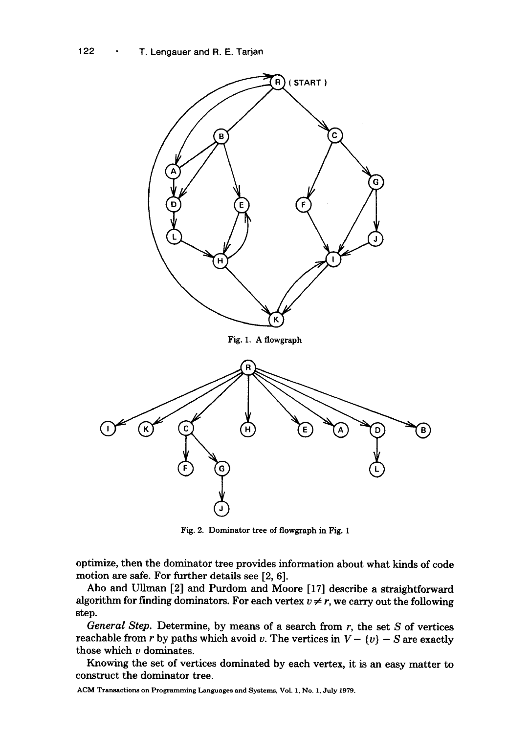

Fig. 2. Dominator tree of flowgraph in Fig. 1

optimize, then the dominator tree provides information about what kinds of code motion are safe. For further details see [2, 6].

Aho and Ullman [2] and Purdom and Moore [17] describe a straightforward algorithm for finding dominators. For each vertex  $v \neq r$ , we carry out the following step.

*General Step.* Determine, by means of a search from r, the set S of vertices reachable from r by paths which avoid v. The vertices in  $V - \{v\} - S$  are exactly those which  $\nu$  dominates.

Knowing the set of vertices dominated by each vertex, it is an easy matter to construct the dominator tree.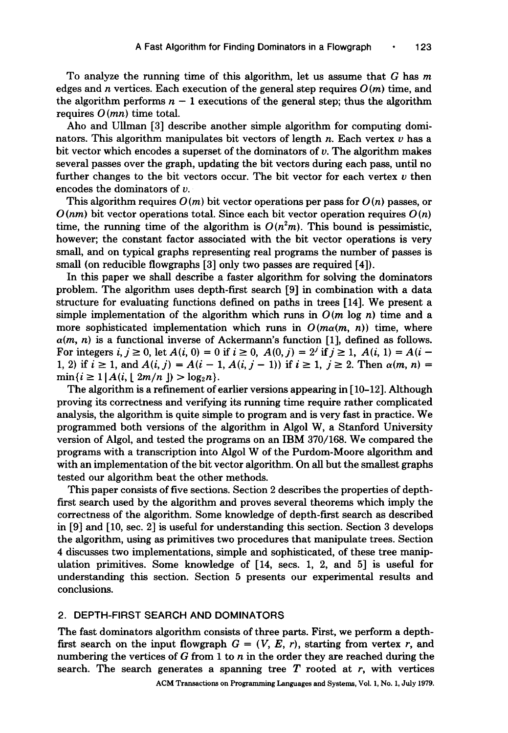To analyze the running time of this algorithm, let us assume that G has m edges and n vertices. Each execution of the general step requires  $O(m)$  time, and the algorithm performs  $n - 1$  executions of the general step; thus the algorithm requires  $O(mn)$  time total.

Aho and Ullman [3] describe another simple algorithm for computing dominators. This algorithm manipulates bit vectors of length n. Each vertex  $v$  has a bit vector which encodes a superset of the dominators of v. The algorithm makes several passes over the graph, updating the bit vectors during each pass, until no further changes to the bit vectors occur. The bit vector for each vertex  $\nu$  then encodes the dominators of v.

This algorithm requires  $O(m)$  bit vector operations per pass for  $O(n)$  passes, or  $O(nm)$  bit vector operations total. Since each bit vector operation requires  $O(n)$ time, the running time of the algorithm is  $O(n^2m)$ . This bound is pessimistic, however; the constant factor associated with the bit vector operations is very small, and on typical graphs representing real programs the number of passes is small (on reducible flowgraphs [3] only two passes are required [4]).

In this paper we shall describe a faster algorithm for solving the dominators problem. The algorithm uses depth-first search [9] in combination with a data structure for evaluating functions defined on paths in trees [14]. We present a simple implementation of the algorithm which runs in  $O(m \log n)$  time and a more sophisticated implementation which runs in  $O(m\alpha(m, n))$  time, where  $\alpha(m, n)$  is a functional inverse of Ackermann's function [1], defined as follows. For integers *i, j*  $\geq$  0, let *A*(*i,* 0) = 0 if *i*  $\geq$  0, *A*(0*, j*) = 2<sup>*j*</sup> if *j*  $\geq$  1, *A*(*i,* 1) = *A*(*i* -1, 2) if  $i \ge 1$ , and  $A(i, j) = A(i - 1, A(i, j - 1))$  if  $i \ge 1$ ,  $j \ge 2$ . Then  $\alpha(m, n) =$  $\min\{i \geq 1 \, | \, A(i, \lfloor 2m/n \rfloor) > \log_2 n\}.$ 

The algorithm is a refinement of earlier versions appearing in [10-12]. Although proving its correctness and verifying its running time require rather complicated analysis, the algorithm is quite simple to program and is very fast in practice. We programmed both versions of the algorithm in Algol W, a Stanford University version of Algol, and tested the programs on an IBM 370/168. We compared the programs with a transcription into Algol W of the Purdom-Moore algorithm and with an implementation of the bit vector algorithm. On all but the smallest graphs tested our algorithm beat the other methods.

This paper consists of five sections. Section 2 describes the properties of depthfirst search used by the algorithm and proves several theorems which imply the correctness of the algorithm. Some knowledge of depth-first search as described in [9] and [10, sec. 2] is useful for understanding this section. Section 3 develops the algorithm, using as primitives two procedures that manipulate trees. Section 4 discusses two implementations, simple and sophisticated, of these tree manipulation primitives. Some knowledge of [14, secs. 1, 2, and 5] is useful for understanding this section. Section 5 presents our experimental results and conclusions.

# 2. DEPTH-FIRST SEARCH AND DOMINATORS

The fast dominators algorithm consists of three parts. First, we perform a depthfirst search on the input flowgraph  $G = (V, E, r)$ , starting from vertex r, and numbering the vertices of G from 1 to n in the order they are reached during the search. The search generates a spanning tree  $T$  rooted at  $r$ , with vertices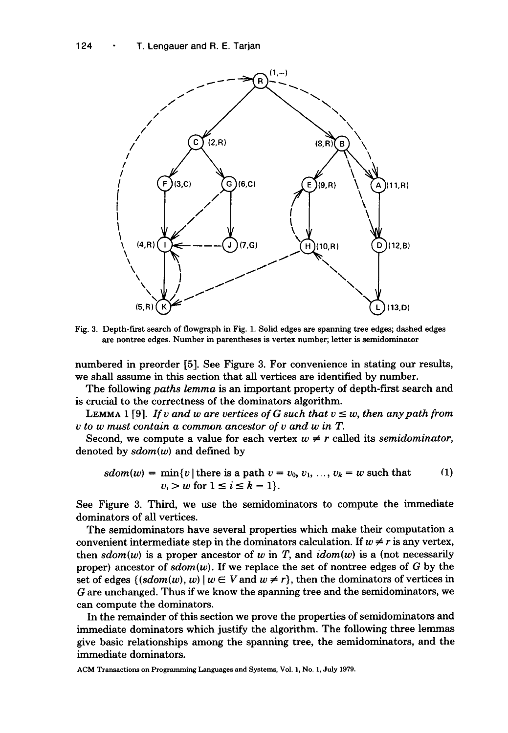

Fig. 3. Depth-first search of flowgraph in Fig. 1. Solid edges are spanning tree edges; dashed edges are nontree edges. Number in parentheses is vertex number; letter is semidominator

numbered in preorder [5]. See Figure 3. For convenience in stating our results, we shall assume in this section that all vertices are identified by number.

The following *paths lemma* is an important property of depth-first search and is crucial to the correctness of the dominators algorithm.

LEMMA 1 [9]. *If v and w are vertices of G such that*  $v \leq w$ *, then any path from v to w must contain a common ancestor of v and w in T.* 

Second, we compute a value for each vertex  $w \neq r$  called its *semidominator*, denoted by *sdom(w)* and defined by

$$
sdom(w) = \min\{v \mid \text{there is a path } v = v_0, v_1, \dots, v_k = w \text{ such that } (1)
$$
  

$$
v_i > w \text{ for } 1 \le i \le k - 1\}.
$$

See Figure 3. Third, we use the semidominators to compute the immediate dominators of all vertices.

The semidominators have several properties which make their computation a convenient intermediate step in the dominators calculation. If  $w \neq r$  is any vertex, then  $sdom(w)$  is a proper ancestor of w in T, and  $idom(w)$  is a (not necessarily proper) ancestor of  $sdom(w)$ . If we replace the set of nontree edges of G by the set of edges  $\{(sdom(w), w) | w \in V \text{ and } w \neq r\}$ , then the dominators of vertices in G are unchanged. Thus if we know the spanning tree and the semidominators, we can compute the dominators.

In the remainder of this section we prove the properties of semidominators and immediate dominators which justify the algorithm. The following three lemmas give basic relationships among the spanning tree, the semidominators, and the immediate dominators.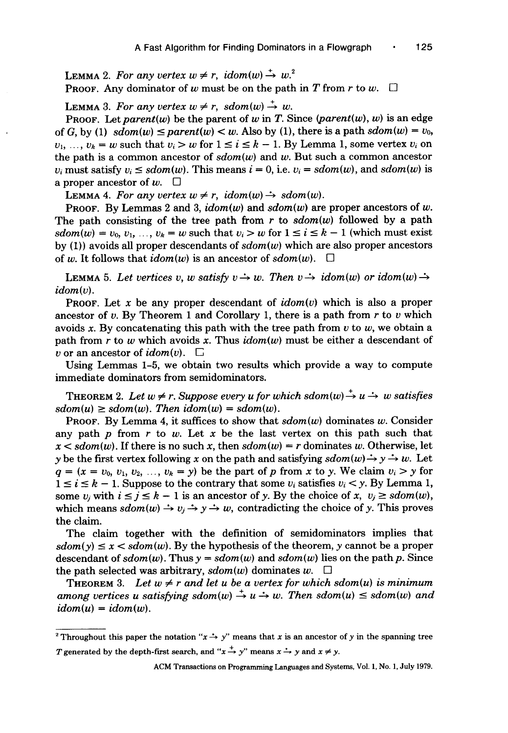**LEMMA** 2. For any vertex  $w \neq r$ , idom(w)  $\stackrel{+}{\rightarrow} w$ .<sup>2</sup> **PROOF.** Any dominator of w must be on the path in T from r to w.  $\Box$ 

**LEMMA** 3. For any vertex  $w \neq r$ , sdom $(w) \stackrel{+}{\rightarrow} w$ .

PROOF. Let parent(w) be the parent of w in T. Since  $|parent(w), w|$  is an edge of G, by (1)  $sdom(w) \leq parent(w) < w$ . Also by (1), there is a path  $sdom(w) = v_0$ ,  $v_1, \ldots, v_k = w$  such that  $v_i > w$  for  $1 \le i \le k - 1$ . By Lemma 1, some vertex  $v_i$  on the path is a common ancestor of *sdom(w)* and w. But such a common ancestor  $v_i$  must satisfy  $v_i \leq sdom(w)$ . This means  $i = 0$ , i.e.  $v_i = sdom(w)$ , and  $sdom(w)$  is a proper ancestor of  $w$ .  $\square$ 

LEMMA 4. For any vertex  $w \neq r$ ,  $\operatorname{idom}(w) \rightarrow \operatorname{sdom}(w)$ .

PROOF. By Lemmas 2 and 3,  $idom(w)$  and  $sdom(w)$  are proper ancestors of w. The path consisting of the tree path from  $r$  to  $sdom(w)$  followed by a path *sdom*(*w*) =  $v_0$ ,  $v_1$ , ...,  $v_k = w$  such that  $v_i > w$  for  $1 \le i \le k - 1$  (which must exist by (1)) avoids all proper descendants of *sdom(w)* which are also proper ancestors of w. It follows that  $idom(w)$  is an ancestor of  $sdom(w)$ .  $\Box$ 

**LEMMA** 5. Let vertices v, w satisfy  $v \rightarrow w$ . Then  $v \rightarrow idom(w)$  or  $idom(w) \rightarrow$ *idom(v).* 

PROOF. Let x be any proper descendant of *idom(v)* which is also a proper ancestor of v. By Theorem 1 and Corollary 1, there is a path from r to v which avoids x. By concatenating this path with the tree path from  $v$  to  $w$ , we obtain a path from r to w which avoids x. Thus *idom(w)* must be either a descendant of v or an ancestor of  $\mathit{idom}(v)$ .  $\Box$ 

Using Lemmas 1-5, we obtain two results which provide a way to compute immediate dominators from semidominators.

THEOREM 2. Let  $w \neq r$ . Suppose every u for which sdom $(w) \stackrel{+}{\rightarrow} u \stackrel{.}{\rightarrow} w$  satisfies  $sdom(u) \ge sdom(w)$ . Then  $idom(w) = sdom(w)$ .

PROOF. By Lemma 4, it suffices to show that  $sdom(w)$  dominates w. Consider any path  $p$  from  $r$  to  $w$ . Let  $x$  be the last vertex on this path such that  $x < sdom(w)$ . If there is no such x, then  $sdom(w) = r$  dominates w. Otherwise, let y be the first vertex following x on the path and satisfying  $sdom(w) \rightarrow y \rightarrow w$ . Let  $q = (x = v_0, v_1, v_2, ..., v_k = y)$  be the part of p from x to y. We claim  $v_i > y$  for  $1 \le i \le k - 1$ . Suppose to the contrary that some  $v_i$  satisfies  $v_i < y$ . By Lemma 1, some  $v_i$  with  $i \le j \le k - 1$  is an ancestor of y. By the choice of x,  $v_j \ge sdom(w)$ , which means  $sdom(w) \rightarrow v_j \rightarrow y \rightarrow w$ , contradicting the choice of y. This proves the claim.

The claim together with the definition of semidominators implies that  $sdom(y) \le x < sdom(w)$ . By the hypothesis of the theorem, y cannot be a proper descendant of  $sdom(w)$ . Thus  $y = sdom(w)$  and  $sdom(w)$  lies on the path p. Since the path selected was arbitrary,  $sdom(w)$  dominates w.  $\square$ 

THEOREM 3. Let  $w \neq r$  and let u be a vertex for which sdom(u) is minimum *among vertices u satisfying sdom(w)*  $\rightarrow u \rightarrow w$ . Then sdom(u)  $\leq$  sdom(w) and  $idom(u) = idom(w)$ .

<sup>&</sup>lt;sup>2</sup> Throughout this paper the notation " $x \rightarrow y$ " means that x is an ancestor of y in the spanning tree T generated by the depth-first search, and " $x \stackrel{+}{\rightarrow} y$ " means  $x \stackrel{+}{\rightarrow} y$  and  $x \neq y$ .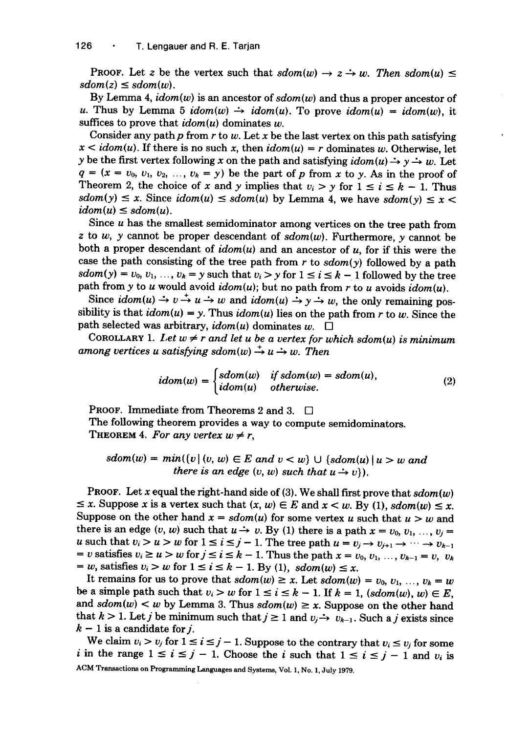**PROOF.** Let z be the vertex such that  $sdom(w) \rightarrow z \rightarrow w$ . Then  $sdom(u) \leq$  $sdom(z) \leq sdom(w)$ .

By Lemma 4, *idom(w)* is an ancestor of *sdom(w)* and thus a proper ancestor of u. Thus by Lemma 5  $idom(w) \rightarrow idom(u)$ . To prove  $idom(u) = idom(w)$ , it suffices to prove that  $idom(u)$  dominates w.

Consider any path p from r to w. Let x be the last vertex on this path satisfying  $x < idom(u)$ . If there is no such x, then  $idom(u) = r$  dominates w. Otherwise, let y be the first vertex following x on the path and satisfying  $idom(u) \rightarrow y \rightarrow w$ . Let  $q = (x = v_0, v_1, v_2, ..., v_k = y)$  be the part of p from x to y. As in the proof of Theorem 2, the choice of x and y implies that  $v_i > y$  for  $1 \le i \le k - 1$ . Thus  $sdom(y) \le x$ . Since  $idom(u) \le sdom(u)$  by Lemma 4, we have  $sdom(y) \le x$  $idom(u) \leq sdom(u)$ .

Since  $u$  has the smallest semidominator among vertices on the tree path from  $z$  to  $w$ ,  $y$  cannot be proper descendant of  $sdom(w)$ . Furthermore,  $y$  cannot be both a proper descendant of *idom(u)* and an ancestor of u, for if this were the case the path consisting of the tree path from  $r$  to  $sdom(y)$  followed by a path  $sdom(y) = v_0, v_1, \ldots, v_k = y$  such that  $v_i > y$  for  $1 \le i \le k - 1$  followed by the tree path from y to u would avoid *idom(u);* but no path from r to u avoids *idom(u).* 

Since  $\operatorname{id}om(u) \to v \to u \to w$  and  $\operatorname{id}om(u) \to y \to w$ , the only remaining possibility is that  $idom(u) = y$ . Thus  $idom(u)$  lies on the path from r to w. Since the path selected was arbitrary,  $\mathit{idom}(u)$  dominates  $w$ .  $\square$ 

COROLLARY 1. Let  $w \neq r$  and let u be a vertex for which sdom(u) is minimum among vertices u satisfying  $sdom(w) \rightarrow u \rightarrow w$ . Then

$$
idom(w) = \begin{cases} sdom(w) & \text{if } sdom(w) = sdom(u), \\ idom(u) & \text{otherwise.} \end{cases}
$$
 (2)

PROOF. Immediate from Theorems 2 and 3. □

The following theorem provides a way to compute semidominators. THEOREM 4. For any vertex  $w \neq r$ ,

 $sdom(w) = min({v | (v, w) \in E \text{ and } v < w} \cup {sdom(u) | u > w \text{ and }}$ *there is an edge*  $(v, w)$  *such that*  $u \rightarrow v$ *).* 

PROOF. Let  $x$  equal the right-hand side of (3). We shall first prove that  $sdom(w)$  $\leq$  x. Suppose x is a vertex such that  $(x, w) \in E$  and  $x < w$ . By (1),  $sdom(w) \leq x$ . Suppose on the other hand  $x = sdom(u)$  for some vertex u such that  $u > w$  and there is an edge  $(v, w)$  such that  $u \rightarrow v$ . By (1) there is a path  $x = v_0, v_1, ..., v_i =$ u such that  $v_i > u > w$  for  $1 \le i \le j-1$ . The tree path  $u = v_j \rightarrow v_{j+1} \rightarrow \cdots \rightarrow v_{k-1}$ = v satisfies  $v_i \ge u > w$  for  $j \le i \le k - 1$ . Thus the path  $x = v_0, v_1, ..., v_{k-1} = v, v_k$  $= w$ , satisfies  $v_i > w$  for  $1 \le i \le k - 1$ . By (1),  $sdom(w) \le x$ .

It remains for us to prove that  $sdom(w) \ge x$ . Let  $sdom(w) = v_0, v_1, ..., v_k = w$ be a simple path such that  $v_i > w$  for  $1 \le i \le k - 1$ . If  $k = 1$ ,  $(sdom(w), w) \in E$ , and  $sdom(w) < w$  by Lemma 3. Thus  $sdom(w) \geq x$ . Suppose on the other hand that  $k > 1$ . Let j be minimum such that  $j \ge 1$  and  $v_j \rightarrow v_{k-1}$ . Such a j exists since  $k-1$  is a candidate for j.

We claim  $v_i > v_j$  for  $1 \le i \le j - 1$ . Suppose to the contrary that  $v_i \le v_j$  for some i in the range  $1 \le i \le j-1$ . Choose the i such that  $1 \le i \le j-1$  and  $v_i$  is ACM Transactions on Programming Languages and Systems, Vol. I, No. I, July 1979.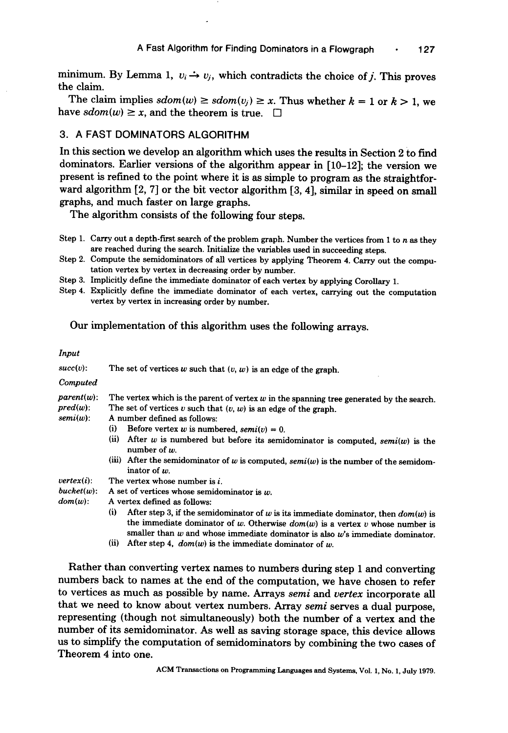minimum. By Lemma 1,  $v_i \rightarrow v_j$ , which contradicts the choice of *j*. This proves the claim.

The claim implies  $sdom(w) \ge sdom(v_i) \ge x$ . Thus whether  $k = 1$  or  $k > 1$ , we have  $sdom(w) \ge x$ , and the theorem is true.  $\Box$ 

#### **3. A FAST DOMINATORS ALGORITHM**

**In this section we develop an algorithm which uses the results in Section 2 to find dominators. Earlier versions of the algorithm appear in [10-12]; the version we present is refined to the point where it is as simple to program as the straightforward algorithm [2, 7] or the bit vector algorithm [3, 4], similar in speed on small graphs, and much faster on large graphs.** 

**The algorithm consists of the following four steps.** 

- Step 1. Carry out a depth-first search of the problem graph. Number the vertices from 1 to n as they are reached during the search. Initialize the variables used in succeeding steps.
- Step 2. Compute the semidominators of all vertices by applying Theorem 4. Carry out the computation vertex by vertex in decreasing order by number.
- Step 3. Implicitly define the immediate dominator of each vertex by applying Corollary 1.
- Step 4. Explicitly define the immediate dominator of each vertex, carrying out the computation vertex by vertex in increasing order by number.

# Our implementation of this algorithm uses the following arrays.

|--|

| $succ(v)$ :                                 | The set of vertices $w$ such that $(v, w)$ is an edge of the graph.                                                                                                                                                                                                        |  |  |  |  |  |  |
|---------------------------------------------|----------------------------------------------------------------------------------------------------------------------------------------------------------------------------------------------------------------------------------------------------------------------------|--|--|--|--|--|--|
| Computed                                    |                                                                                                                                                                                                                                                                            |  |  |  |  |  |  |
| $parent(w)$ :<br>$pred(w)$ :<br>$semi(w)$ : | The vertex which is the parent of vertex $w$ in the spanning tree generated by the search.<br>The set of vertices $v$ such that $(v, w)$ is an edge of the graph.<br>A number defined as follows:<br>Before vertex w is numbered, $semi(v) = 0$ .<br>(i)                   |  |  |  |  |  |  |
|                                             | (ii)<br>After $w$ is numbered but before its semidominator is computed, $semi(w)$ is the<br>number of $w$ .                                                                                                                                                                |  |  |  |  |  |  |
|                                             | (iii) After the semidominator of $w$ is computed, $semi(w)$ is the number of the semidom-<br>inator of $w$ .                                                                                                                                                               |  |  |  |  |  |  |
| vertex(i):                                  | The vertex whose number is <i>i</i> .                                                                                                                                                                                                                                      |  |  |  |  |  |  |
| $bucket(w)$ :                               | A set of vertices whose semidominator is $w$ .                                                                                                                                                                                                                             |  |  |  |  |  |  |
| $dom(w)$ :                                  | A vertex defined as follows:                                                                                                                                                                                                                                               |  |  |  |  |  |  |
|                                             | (i)<br>After step 3, if the semidominator of $w$ is its immediate dominator, then $dom(w)$ is<br>the immediate dominator of $w$ . Otherwise $dom(w)$ is a vertex $v$ whose number is<br>smaller than $w$ and whose immediate dominator is also $w$ 's immediate dominator. |  |  |  |  |  |  |
|                                             | $\overline{u}$<br>After step 4, $dom(w)$ is the immediate dominator of w.                                                                                                                                                                                                  |  |  |  |  |  |  |

Rather than converting vertex names to numbers during step 1 and converting numbers back to names at the end of the computation, we have chosen to refer to vertices as much as possible by name. Arrays *semi and vertex* incorporate all that we need to know about vertex numbers. Array *semi* serves a dual purpose, representing (though not simultaneously) both the number of a vertex and the number of its semidominator. As well as saving storage space, this device allows us to simplify the computation of semidominators by combining the two cases of Theorem 4 into one.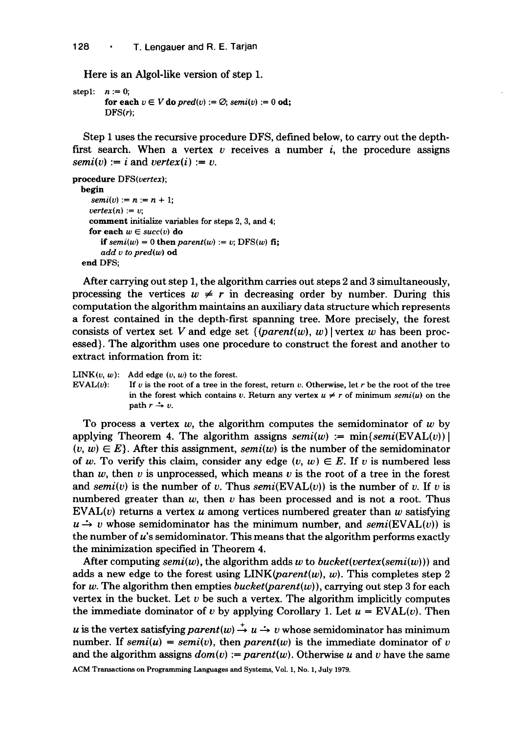Here is an Algol-like version of step 1.

```
step1: n := 0;
         for each v \in V do pred(v) := \emptyset; semi(v) := 0 od;
         DFS(r);
```
Step 1 uses the recursive procedure DFS, defined below, to carry out the depthfirst search. When a vertex v receives a number i, the procedure assigns  $semi(v) := i$  and  $vertex(i) := v$ .

```
procedure DFS(vertex); 
  begin 
     semi(v) := n := n + 1;vertex(n) := v;comment initialize variables for steps 2, 3, and 4; 
    for each w \in succ(v) do
       if semi(w) = 0 then parent(w) := v; DFS(w) fi;
       add v to pred(w) od 
  end DFS;
```
After carrying out step 1, the algorithm carries out steps 2 and 3 simultaneously, processing the vertices  $w \neq r$  in decreasing order by number. During this computation the algorithm maintains an auxiliary data structure which represents a forest contained in the depth-first spanning tree. More precisely, the forest consists of vertex set V and edge set  $\{(parent(w), w) \}$  vertex w has been processed). The algorithm uses one procedure to construct the forest and another to extract information from it:

LINK( $v, w$ ): Add edge  $(v, w)$  to the forest.<br>EVAL( $v$ ): If  $v$  is the root of a tree in the

If  $v$  is the root of a tree in the forest, return  $v$ . Otherwise, let  $r$  be the root of the tree in the forest which contains v. Return any vertex  $u \neq r$  of minimum *semi(u)* on the path  $r \rightarrow v$ .

To process a vertex w, the algorithm computes the semidominator of w by applying Theorem 4. The algorithm assigns  $semi(w) := min{semi(EVAL}(v))$  $(v, w) \in E$ . After this assignment, *semi*(w) is the number of the semidominator of w. To verify this claim, consider any edge  $(v, w) \in E$ . If v is numbered less than  $w$ , then  $v$  is unprocessed, which means  $v$  is the root of a tree in the forest and *semi(v)* is the number of v. Thus  $semi(\text{EVAL}(v))$  is the number of v. If v is numbered greater than  $w$ , then  $v$  has been processed and is not a root. Thus  $EVAL$ (v) returns a vertex u among vertices numbered greater than w satisfying  $u \rightarrow v$  whose semidominator has the minimum number, and *semi*(EVAL(*v*)) is the number of u's semidominator. This means that the algorithm performs exactly the minimization specified in Theorem 4.

After computing  $semi(w)$ , the algorithm adds w to *bucket(vertex(semi(w))*) and adds a new edge to the forest using  $LINK(*parent(w)*, w)$ . This completes step 2 for w. The algorithm then empties *bucket(parent(w)),* carrying out step 3 for each vertex in the bucket. Let  $v$  be such a vertex. The algorithm implicitly computes the immediate dominator of v by applying Corollary 1. Let  $u = EVAL(v)$ . Then

u is the vertex satisfying parent(w)  $\stackrel{+}{\rightarrow} u \stackrel{.}{\rightarrow} v$  whose semidominator has minimum number. If  $semi(u) = semi(v)$ , then *parent(w)* is the immediate dominator of v and the algorithm assigns  $dom(v) := parent(w)$ . Otherwise u and v have the same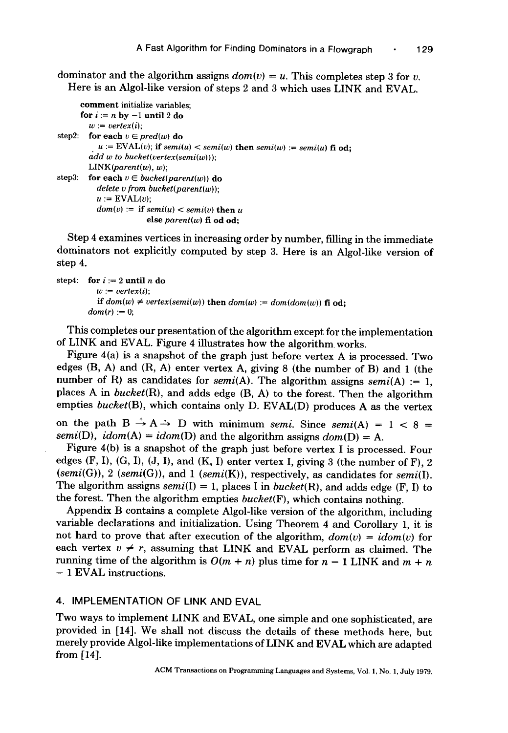dominator and the algorithm assigns  $dom(v) = u$ . This completes step 3 for v. Here is an Algol-like version of steps 2 and 3 which uses LINK and EVAL.

```
comment initialize variables; 
      for i := n by -1 until 2 do
         w := vertex(i):
step2: for each v \in pred(w) do
           u = \text{EVAL}(v); if \text{semi}(u) < \text{ semi}(w) then \text{ semi}(w) := \text{ semi}(u) fi od:
         add w to bucket(vertex(semi(w))); 
         LINK(<i>parent(w)</i>, w);step3: for each v \in bucket(parent(w)) do
           delete v from bucket(parent(w)); 
           u := EVAL(v):
           dom(v) := if semi(u) < semi(v) then u
                          else parent(w) fi od od;
```
Step 4 examines vertices in increasing order by number, filling in the immediate dominators not explicitly computed by step 3. Here is an Algol-like version of step 4.

```
step4: for i := 2 until n do
          w := vertex(i):
          if dom(w) \neq vertex(semi(w)) then dom(w) := dom(dom(w)) fi od:
        dom(r) := 0;
```
This completes our presentation of the algorithm except for the implementation of LINK and EVAL. Figure 4 illustrates how the algorithm works.

Figure 4(a) is a snapshot of the graph just before vertex A is processed. Two edges (B, A) and (R, A) enter vertex A, giving 8 (the number of B) and 1 (the number of R) as candidates for *semi*(A). The algorithm assigns *semi*(A) := 1, places A in *bucket(R),* and adds edge (B, A) to the forest. Then the algorithm empties *bucket(B),* which contains only D. EVAL(D) produces A as the vertex

on the path  $B \rightarrow A \rightarrow D$  with minimum *semi*. Since *semi*(A) = 1 < 8 = *semi(D), idom(A) = idom(D)* and the algorithm assigns  $dom(D) = A$ .

Figure 4(b) is a snapshot of the graph just before vertex I is processed. Four edges  $(F, I), (G, I), (J, I),$  and  $(K, I)$  enter vertex I, giving 3 (the number of F), 2 *(semi(G)), 2 (semi(G)),* and 1 *(semi(K)),* respectively, as candidates for *semi(I).*  The algorithm assigns  $semi(I) = 1$ , places I in *bucket(R)*, and adds edge (F, I) to the forest. Then the algorithm empties *bucket(F),* which contains nothing.

Appendix B contains a complete Algol-like version of the algorithm, including variable declarations and initialization. Using Theorem 4 and Corollary 1, it is not hard to prove that after execution of the algorithm,  $dom(v) = idom(v)$  for each vertex  $v \neq r$ , assuming that LINK and EVAL perform as claimed. The running time of the algorithm is  $O(m + n)$  plus time for  $n - 1$  LINK and  $m + n$ - 1 EVAL instructions.

#### 4. IMPLEMENTATION OF LINK AND EVAL

Two ways to implement LINK and EVAL, one simple and one sophisticated, are provided in [14]. We shall not discuss the details of these methods here, but merely provide Algol-like implementations of LINK and EVAL which are adapted from [14].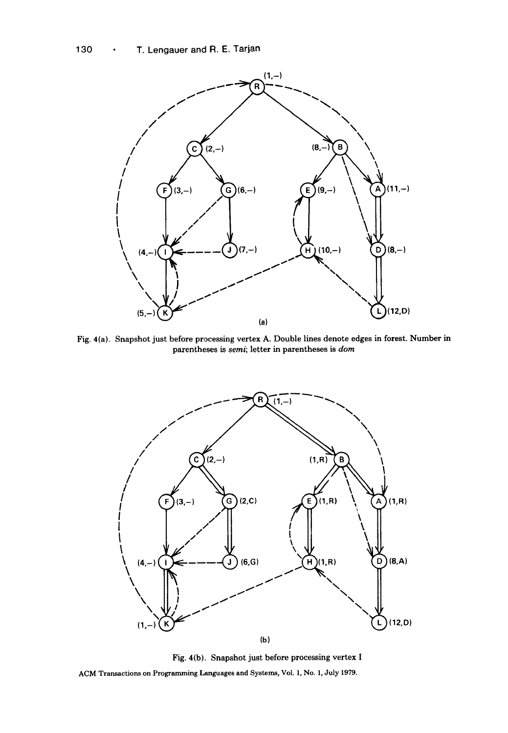

Fig. 4(a). Snapshot just before processing vertex A. Double lines denote edges in forest. Number in parentheses is semi; letter in parentheses is *dora* 



Fig. 4(b). Snapshot just before processing vertex I ACM Transactions on Programming Languages and Systems, Vol. 1, No. 1, July 1979.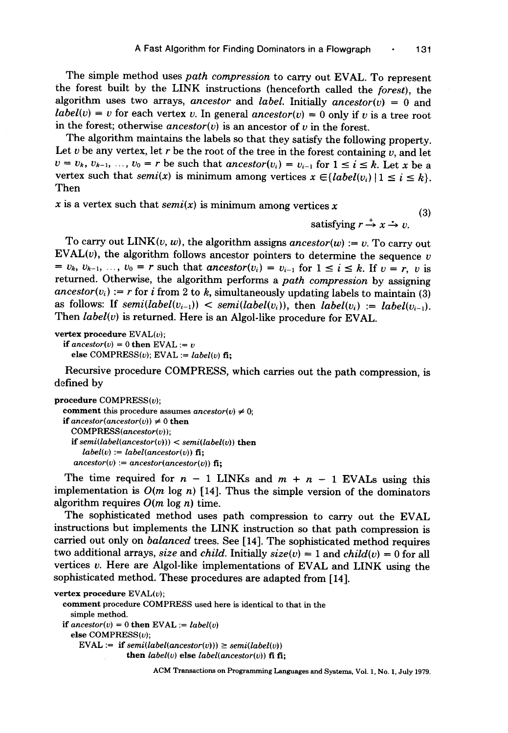The simple method uses *path compression* to carry out EVAL. To represent the forest built by the LINK instructions {henceforth called the *forest},* the algorithm uses two arrays, *ancestor* and *label*. Initially *ancestor(v)* = 0 and *label(v) = v* for each vertex v. In general *ancestor(v) = 0 only if v is a tree root* in the forest; otherwise  $\text{arcestor}(v)$  is an ancestor of v in the forest.

The algorithm maintains the labels so that they satisfy the following property. Let  $v$  be any vertex, let  $r$  be the root of the tree in the forest containing  $v$ , and let  $v = v_k$ ,  $v_{k-1}$ , ...,  $v_0 = r$  be such that *ancestor*( $v_i$ ) =  $v_{i-1}$  for  $1 \le i \le k$ . Let x be a vertex such that *semi(x)* is minimum among vertices  $x \in \{label(v_i) | 1 \le i \le k\}.$ Then

x is a vertex such that  $semi(x)$  is minimum among vertices x

satisfying  $r \rightarrow x \rightarrow v$ .

To carry out  $LINK(v, w)$ , the algorithm assigns *ancestor(w)* := v. To carry out EVAL $(v)$ , the algorithm follows ancestor pointers to determine the sequence v  $v_k, v_{k-1}, \ldots, v_0 = r$  such that ancestor( $v_i$ )  $= v_{i-1}$  for  $1 \leq i \leq k$ . If  $v = r$ , v is returned. Otherwise, the algorithm performs a *path compression* by assigning  $\mathit{ancestor}(v_i) := r$  for i from 2 to k, simultaneously updating labels to maintain (3) as follows: If  $semi(label(v_{i-1})) < semi(label(v_i))$ , then  $label(v_i) := label(v_{i-1})$ . Then *label(v)* is returned. Here is an Algol-like procedure for EVAL.

```
vertex procedure EVAL(v); 
  if \mathit{ancestor}(v) = 0 then EVAL := v
```
 $else$  COMPRESS(v); EVAL :=  $label(v)$  fi:

Recursive procedure COMPRESS, which carries out the path compression, is defined by

```
procedure COMPRESS(v);
```

```
comment this procedure assumes ancestor(v) \neq 0;
if \text{ancestor}( \text{ancestor}(v) ) \neq 0 then
  COMPRESS(ancestor(v)); 
  if semi(label(ancestor(v))) < semi(label(v)) then 
     label(v) := label(ancestor(v)) fi:
   \mathit{ancestor}(v) := ancestor(ancestor(v)) fi;
```
The time required for  $n - 1$  LINKs and  $m + n - 1$  EVALs using this implementation is  $O(m \log n)$  [14]. Thus the simple version of the dominators algorithm requires  $O(m \log n)$  time.

The sophisticated method uses path compression to carry out the EVAL instructions but implements the LINK instruction so that path compression is carried out only on *balanced* trees. See [14]. The sophisticated method requires two additional arrays, *size* and *child*. Initially  $size(v) = 1$  and  $child(v) = 0$  for all vertices v. Here are Algol-like implementations of EVAL and LINK using the sophisticated method. These procedures are adapted from [14].

```
vertex procedure EVAL(v); 
  comment procedure COMPRESS used here is identical to that in the 
    simple method. 
 if \mathit{ancestor}(v) = 0 then EVAL := \mathit{label}(v)else COMPRESS(v);EVAL := if semi(label(ancestor(v))) \geq semi(label(v))then label(v) else label(ancestor(v)) fi fi;
```
ACM Transactions on Programming Languages and Systems, Vol. 1, No. 1, July 1979.

(3)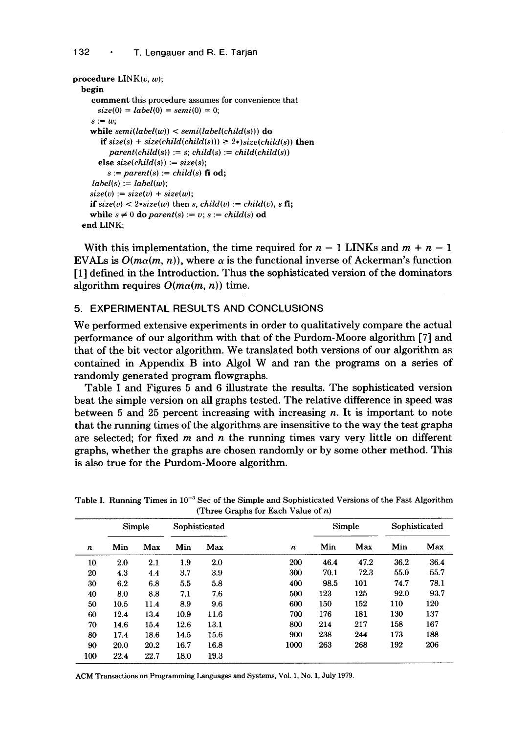```
procedure LINK(v, w); 
  begin 
     comment this procedure assumes for convenience that 
      size(0) = label(0) = semi(0) = 0;s := wwhile semi(label(w)) < semi(label(child(s))) do 
       if size(s) + size(child(child(s))) \geq 2*)size(child(s)) then
          parent(child(s)) := s; child(s) := child(child(s))else size(child(s)) := size(s); 
         s := parent(s) := child(s) fi od;
     label(s) := label(w);size(v) := size(v) + size(w);if size(v) \lt 2*size(w) then s, child(v) := child(v), s fi;
    while s \neq 0 do parent(s) := v; s := child(s) od
  end LINK;
```
With this implementation, the time required for  $n - 1$  LINKs and  $m + n - 1$ EVALs is  $O(m\alpha(m, n))$ , where  $\alpha$  is the functional inverse of Ackerman's function [1] defined in the Introduction. Thus the sophisticated version of the dominators algorithm requires  $O(m\alpha(m, n))$  time.

# **5. EXPERIMENTAL RESULTS AND CONCLUSIONS**

We performed extensive experiments in order to qualitatively compare the actual performance of our algorithm with that of the Purdom-Moore algorithm [7] and that of the bit vector algorithm. We translated both versions of our algorithm as contained in Appendix B into Algol W and ran the programs on a series of randomly generated program flowgraphs.

Table I and Figures 5 and 6 illustrate the results. The sophisticated version beat the simple version on all graphs tested. The relative difference in speed was between 5 and 25 percent increasing with increasing  $n$ . It is important to note that the running times of the algorithms are insensitive to the way the test graphs are selected; for fixed  $m$  and  $n$  the running times vary very little on different graphs, whether the graphs are chosen randomly or by some other method. This is also true for the Purdom-Moore algorithm.

|     | $(1)$ intervalue to the case of $n$ ) |      |               |      |      |      |        |      |               |  |
|-----|---------------------------------------|------|---------------|------|------|------|--------|------|---------------|--|
|     | Simple                                |      | Sophisticated |      |      |      | Simple |      | Sophisticated |  |
| n   | Min                                   | Max  | Min           | Max  | n    | Min  | Max    | Min  | Max           |  |
| 10  | $2.0\,$                               | 2.1  | 1.9           | 2.0  | 200  | 46.4 | 47.2   | 36.2 | 36.4          |  |
| 20  | 4.3                                   | 4.4  | 3.7           | 3.9  | 300  | 70.1 | 72.3   | 55.0 | 55.7          |  |
| 30  | 6.2                                   | 6.8  | 5.5           | 5.8  | 400  | 98.5 | 101    | 74.7 | 78.1          |  |
| 40  | 8.0                                   | 8.8  | 7.1           | 7.6  | 500  | 123  | 125    | 92.0 | 93.7          |  |
| 50  | 10.5                                  | 11.4 | 8.9           | 9.6  | 600  | 150  | 152    | 110  | 120           |  |
| 60  | 12.4                                  | 13.4 | 10.9          | 11.6 | 700  | 176  | 181    | 130  | 137           |  |
| 70  | 14.6                                  | 15.4 | 12.6          | 13.1 | 800  | 214  | 217    | 158  | 167           |  |
| 80  | 17.4                                  | 18.6 | 14.5          | 15.6 | 900  | 238  | 244    | 173  | 188           |  |
| 90  | 20.0                                  | 20.2 | 16.7          | 16.8 | 1000 | 263  | 268    | 192  | 206           |  |
| 100 | 22.4                                  | 22.7 | 18.0          | 19.3 |      |      |        |      |               |  |

Table I. Running Times in  $10^{-3}$  Sec of the Simple and Sophisticated Versions of the Fast Algorithm (Three Graphs for Each Value of n)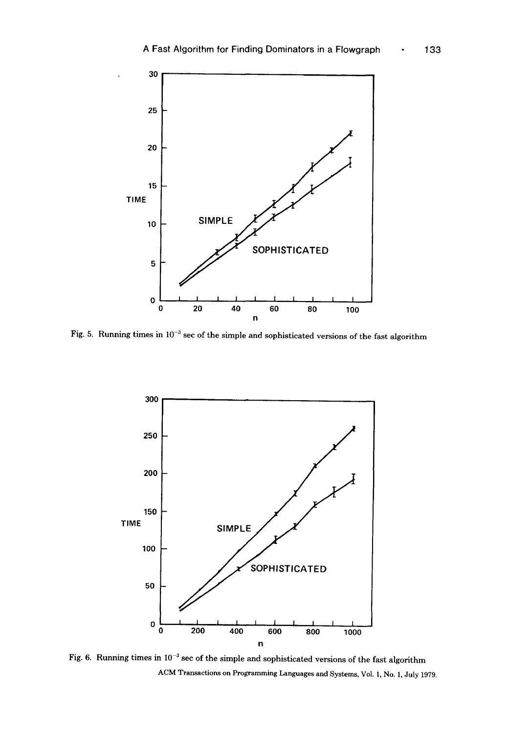

Fig. 5. Running times in  $10^{-3}$  sec of the simple and sophisticated versions of the fast algorithm



Fig. 6. Running times in  $10^{-3}$  sec of the simple and sophisticated versions of the fast algorithm ACM Transactions on Programming Languages and Systems, Vol. 1, No. 1, July 1979.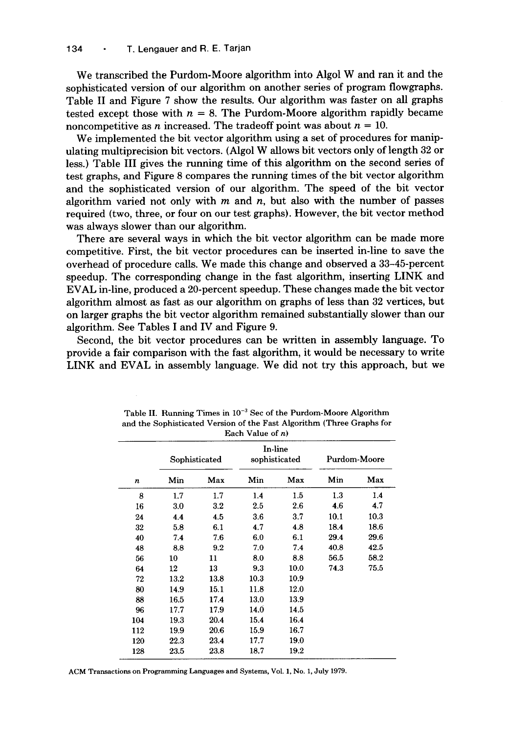We transcribed the Purdom-Moore algorithm into Algol W and ran it and the sophisticated version of our algorithm on another series of program flowgraphs. Table II and Figure 7 show the results. Our algorithm was faster on all graphs tested except those with  $n = 8$ . The Purdom-Moore algorithm rapidly became noncompetitive as *n* increased. The tradeoff point was about  $n = 10$ .

We implemented the bit vector algorithm using a set of procedures for manipulating multiprecision bit vectors. (Algol W allows bit vectors only of length 32 or less.) Table III gives the running time of this algorithm on the second series of test graphs, and Figure 8 compares the running times of the bit vector algorithm and the sophisticated version of our algorithm. The speed of the bit vector algorithm varied not only with  $m$  and  $n$ , but also with the number of passes required (two, three, or four on our test graphs). However, the bit vector method was always slower than our algorithm.

There are several ways in which the bit vector algorithm can be made more competitive. First, the bit vector procedures can be inserted in-line to save the overhead of procedure calls. We made this change and observed a 33-45-percent speedup. The corresponding change in the fast algorithm, inserting LINK and EVAL in-line, produced a 20-percent speedup. These changes made the bit vector algorithm almost as fast as our algorithm on graphs of less than 32 vertices, but on larger graphs the bit vector algorithm remained substantially slower than our algorithm. See Tables I and IV and Figure 9.

Second, the bit vector procedures can be written in assembly language. To provide a fair comparison with the fast algorithm, it would be necessary to write LINK and EVAL in assembly language. We did not try this approach, but we

| <b>Each</b> value of <i>it</i> |               |         |      |                          |              |      |  |  |
|--------------------------------|---------------|---------|------|--------------------------|--------------|------|--|--|
|                                | Sophisticated |         |      | In-line<br>sophisticated | Purdom-Moore |      |  |  |
| n                              | Min           | Max     | Min  | Max                      | Min          | Max  |  |  |
| 8                              | 1.7           | 1.7     | 1.4  | 1.5                      | 1.3          | 1.4  |  |  |
| 16                             | 3.0           | $3.2\,$ | 2.5  | 2.6                      | 4.6          | 4.7  |  |  |
| 24                             | 4.4           | 4.5     | 3.6  | 3.7                      | 10.1         | 10.3 |  |  |
| 32                             | 5.8           | 6.1     | 4.7  | 4.8                      | 18.4         | 18.6 |  |  |
| 40                             | 7.4           | 7.6     | 6.0  | 6.1                      | 29.4         | 29.6 |  |  |
| 48                             | 8.8           | 9.2     | 7.0  | 7.4                      | 40.8         | 42.5 |  |  |
| 56                             | 10            | 11      | 8.0  | 8.8                      | 56.5         | 58.2 |  |  |
| 64                             | 12            | 13      | 9.3  | 10.0                     | 74.3         | 75.5 |  |  |
| 72                             | 13.2          | 13.8    | 10.3 | 10.9                     |              |      |  |  |
| 80                             | 14.9          | 15.1    | 11.8 | 12.0                     |              |      |  |  |
| 88                             | 16.5          | 17.4    | 13.0 | 13.9                     |              |      |  |  |
| 96                             | 17.7          | 17.9    | 14.0 | 14.5                     |              |      |  |  |
| 104                            | 19.3          | 20.4    | 15.4 | 16.4                     |              |      |  |  |
| 112                            | 19.9          | 20.6    | 15.9 | 16.7                     |              |      |  |  |
| 120                            | 22.3          | 23.4    | 17.7 | 19.0                     |              |      |  |  |
| 128                            | 23.5          | 23.8    | 18.7 | 19.2                     |              |      |  |  |

Table II. Running Times in  $10^{-3}$  Sec of the Purdom-Moore Algorithm and the Sophisticated Version of the Fast Algorithm (Three Graphs for Each Value of n)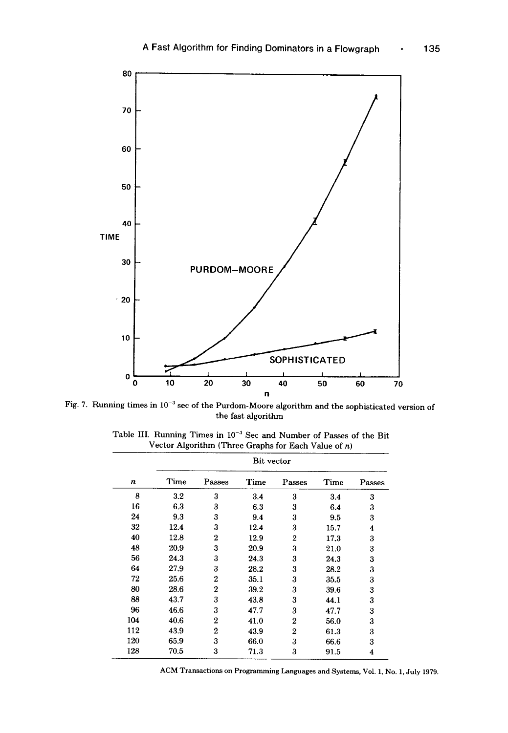

Fig. 7. Running times in  $10^{-3}$  sec of the Purdom-Moore algorithm and the sophisticated version of the fast algorithm

|     | Bit vector |                  |      |                |      |        |
|-----|------------|------------------|------|----------------|------|--------|
| n   | Time       | Passes           | Time | Passes         | Time | Passes |
| 8   | $3.2\,$    | 3                | 3.4  | 3              | 3.4  | 3      |
| 16  | 6.3        | 3                | 6.3  | 3              | 6.4  | 3      |
| 24  | 9.3        | 3                | 9.4  | 3              | 9.5  | 3      |
| 32  | 12.4       | 3                | 12.4 | 3              | 15.7 | 4      |
| 40  | 12.8       | $\mathbf{2}$     | 12.9 | $\overline{2}$ | 17.3 | 3      |
| 48  | 20.9       | 3                | 20.9 | 3              | 21.0 | 3      |
| 56  | 24.3       | 3                | 24.3 | 3              | 24.3 | 3      |
| 64  | 27.9       | 3                | 28.2 | 3              | 28.2 | 3      |
| 72  | 25.6       | $\overline{2}$   | 35.1 | 3              | 35.5 | 3      |
| 80  | 28.6       | $\boldsymbol{2}$ | 39.2 | 3              | 39.6 | 3      |
| 88  | 43.7       | 3                | 43.8 | 3              | 44.1 | 3      |
| 96  | 46.6       | 3                | 47.7 | 3              | 47.7 | 3      |
| 104 | 40.6       | $\overline{2}$   | 41.0 | 2              | 56.0 | 3      |
| 112 | 43.9       | $\overline{2}$   | 43.9 | $\overline{2}$ | 61.3 | 3      |
| 120 | 65.9       | 3                | 66.0 | 3              | 66.6 | 3      |
| 128 | 70.5       | 3                | 71.3 | 3              | 91.5 | 4      |

Table III. Running Times in  $10^{-3}$  Sec and Number of Passes of the Bit Vector Algorithm (Three Graphs for Each Value of  $n$ )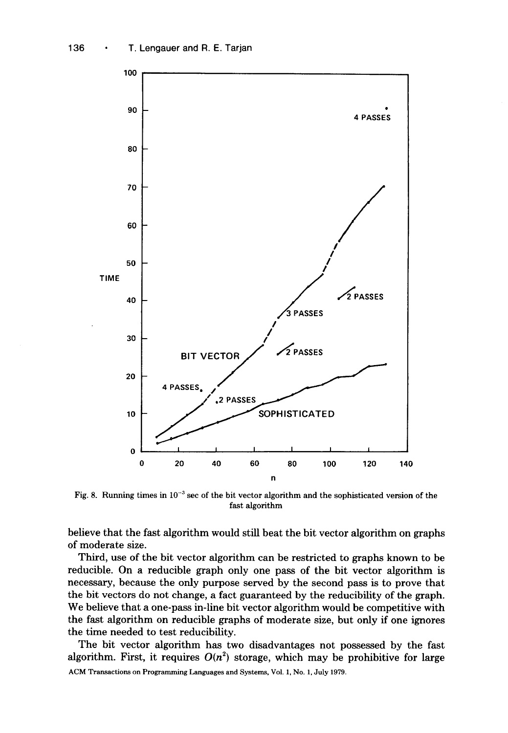

Fig. 8. Running times in  $10^{-3}$  sec of the bit vector algorithm and the sophisticated version of the fast algorithm

believe that the fast algorithm would still beat the bit vector algorithm on graphs of moderate size.

Third, use of the bit vector algorithm can be restricted to graphs known to be reducible. On a reducible graph only one pass of the bit vector algorithm is necessary, because the only purpose served by the second pass is to prove that the bit vectors do not change, a fact guaranteed by the reducibility of the graph. We believe that a one-pass in-line bit vector algorithm would be competitive with the fast algorithm on reducible graphs of moderate size, but only if one ignores the time needed to test reducibility.

The bit vector algorithm has two disadvantages not possessed by the fast algorithm. First, it requires  $O(n^2)$  storage, which may be prohibitive for large ACM Transactions on Programming Languages and Systems, Vol. 1, No. 1, July 1979.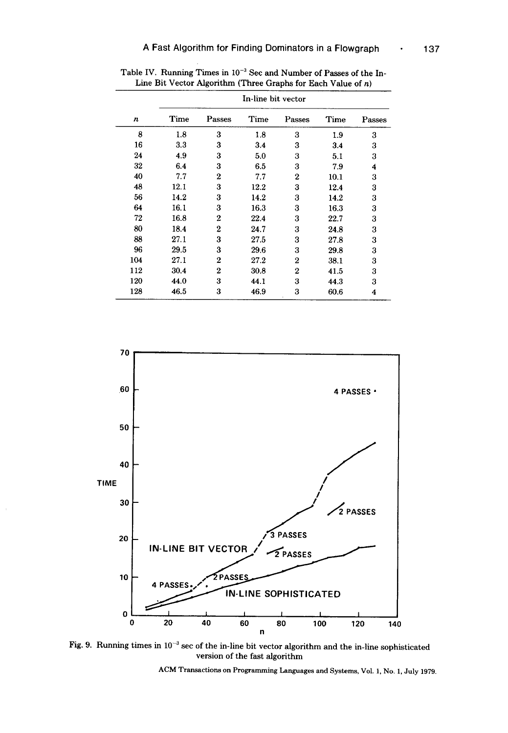|     | In-line bit vector |                |      |                  |      |        |  |
|-----|--------------------|----------------|------|------------------|------|--------|--|
| n   | <b>Time</b>        | Passes         | Time | Passes           | Time | Passes |  |
| 8   | 1.8                | 3              | 1.8  | 3                | 1.9  | 3      |  |
| 16  | 3.3                | 3              | 3.4  | 3                | 3.4  | 3      |  |
| 24  | 4.9                | 3              | 5.0  | 3                | 5.1  | 3      |  |
| 32  | 6.4                | 3              | 6.5  | 3                | 7.9  | 4      |  |
| 40  | 7.7                | 2              | 7.7  | 2                | 10.1 | 3      |  |
| 48  | 12.1               | 3              | 12.2 | 3                | 12.4 | 3      |  |
| 56  | 14.2               | 3              | 14.2 | 3                | 14.2 | 3      |  |
| 64  | 16.1               | 3              | 16.3 | 3                | 16.3 | 3      |  |
| 72  | 16.8               | $\overline{2}$ | 22.4 | 3                | 22.7 | 3      |  |
| 80  | 18.4               | $\mathbf{2}$   | 24.7 | 3                | 24.8 | 3      |  |
| 88  | 27.1               | 3              | 27.5 | 3                | 27.8 | 3      |  |
| 96  | 29.5               | 3              | 29.6 | 3                | 29.8 | 3      |  |
| 104 | 27.1               | $\overline{2}$ | 27.2 | 2                | 38.1 | 3      |  |
| 112 | 30.4               | $\overline{2}$ | 30.8 | $\boldsymbol{2}$ | 41.5 | 3      |  |
| 120 | 44.0               | 3              | 44.1 | 3                | 44.3 | 3      |  |
| 128 | 46.5               | 3              | 46.9 | 3                | 60.6 | 4      |  |

Table IV. Running Times in  $10^{-3}$  Sec and Number of Passes of the In-Line Bit Vector Algorithm (Three Graphs for Each Value of  $n$ )



Fig. 9. Running times in  $10^{-3}$  sec of the in-line bit vector algorithm and the in-line sophisticated version of the fast algorithm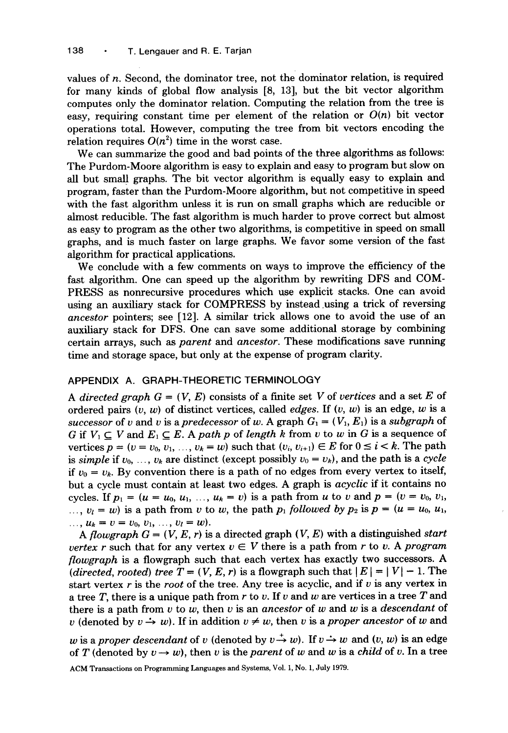values of  $n$ . Second, the dominator tree, not the dominator relation, is required for many kinds of global flow analysis [8, 13], but the bit vector algorithm computes only the dominator relation. Computing the relation from the tree is easy, requiring constant time per element of the relation or  $O(n)$  bit vector operations total. However, computing the tree from bit vectors encoding the relation requires  $O(n^2)$  time in the worst case.

We can summarize the good and bad points of the three algorithms as follows: The Purdom-Moore algorithm is easy to explain and easy to program but slow on all but small graphs. The bit vector algorithm is equally easy to explain and program, faster than the Purdom-Moore algorithm, but not competitive in speed with the fast algorithm unless it is run on small graphs which are reducible or almost reducible. The fast algorithm is much harder to prove correct but almost as easy to program as the other two algorithms, is competitive in speed on small graphs, and is much faster on large graphs. We favor some version of the fast algorithm for practical applications.

We conclude with a few comments on ways to improve the efficiency of the fast algorithm. One can speed up the algorithm by rewriting DFS and COM-PRESS as nonrecursive procedures which use explicit stacks. One can avoid using an auxiliary stack for COMPRESS by instead using a trick of reversing *ancestor* pointers; see [12]. A similar trick allows one to avoid the use of an auxiliary stack for DFS. One can save some additional storage by combining certain arrays, such as *parent* and *ancestor.* These modifications save running time and storage space, but only at the expense of program clarity.

## APPENDIX A. GRAPH-THEORETIC TERMINOLOGY

*A directed graph*  $G = (V, E)$  *consists of a finite set V of <i>vertices* and a set E of ordered pairs  $(v, w)$  of distinct vertices, called *edges*. If  $(v, w)$  is an edge, w is a *successor* of v and v is a *predecessor* of w. A graph  $G_1 = (V_1, E_1)$  is a *subgraph* of G if  $V_1 \subseteq V$  and  $E_1 \subseteq E$ . A *path p* of *length* k from v to w in G is a sequence of vertices  $p = (v = v_0, v_1, \ldots, v_k = w)$  such that  $(v_i, v_{i+1}) \in E$  for  $0 \le i \le k$ . The path is *simple* if  $v_0, \ldots, v_k$  are distinct (except possibly  $v_0 = v_k$ ), and the path is a *cycle* if  $v_0 = v_k$ . By convention there is a path of no edges from every vertex to itself, but a cycle must contain at least two edges. A graph is *acyclic* if it contains no cycles. If  $p_1 = (u = u_0, u_1, ..., u_k = v)$  is a path from u to v and  $p = (v = v_0, v_1,$ ...,  $v_l = w$ ) is a path from v to w, the path  $p_1$  followed by  $p_2$  is  $p = (u = u_0, u_1, u_2, u_2, u_3, u_4, u_5, u_6, u_7, u_8, u_9, u_1, u_2, u_3, u_1, u_2, u_3, u_1, u_2, u_3, u_4, u_5, u_7, u_8, u_9, u_1, u_2, u_3, u_4, u_7, u_9, u_1, u_2, u_3, u_4, u_7$  $u_k = v = v_0, v_1, \ldots, v_l = w$ .

*A flowgraph G = (V, E, r)* is a directed graph (V, E) with a distinguished *start vertex r* such that for any vertex  $v \in V$  there is a path from r to v. A *program flowgraph* is a flowgraph such that each vertex has exactly two successors. A *(directed, rooted) tree*  $T = (V, E, r)$  is a flowgraph such that  $|E| = |V| - 1$ . The start vertex r is the *root* of the tree. Any tree is acyclic, and if v is any vertex in a tree T, there is a unique path from  $r$  to  $v$ . If  $v$  and  $w$  are vertices in a tree  $T$  and there is a path from v to w, then v is an *ancestor* of w and w is a *descendant* of v (denoted by  $v \rightarrow w$ ). If in addition  $v \neq w$ , then v is a *proper ancestor* of w and

w is a *proper descendant* of v (denoted by  $v \rightarrow w$ ). If  $v \rightarrow w$  and  $(v, w)$  is an edge of T (denoted by  $v \to w$ ), then v is the *parent* of w and w is a *child* of v. In a tree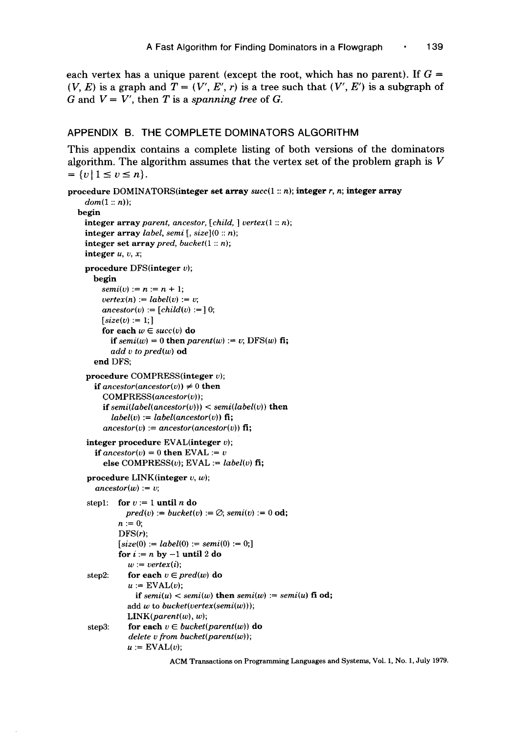each vertex has a unique parent (except the root, which has no parent). If  $G =$  $(V, E)$  is a graph and  $T = (V', E', r)$  is a tree such that  $(V', E')$  is a subgraph of G and  $V = V'$ , then T is a *spanning tree* of G.

#### APPENDIX B. THE COMPLETE DOMINATORS ALGORITHM

This appendix contains a complete listing of both versions of the dominators algorithm. The algorithm assumes that the vertex set of the problem graph is  $V$  $= \{v \mid 1 \le v \le n\}.$ 

```
procedure DOMINATORS(integer set array succ(1 :: n); integer r, n; integer array 
    dom(1:: n);
  begin 
    integer array parent, ancestor, [child, ] vertex(1 :: n); 
    integer array label, semi [, size](O :: n); 
    integer set array pred, bucket(1 :: n); 
    integer u, v, x;procedure DFS(integer v);
       begin 
         semi(v) := n := n + 1;vertex(n) := label(v) := v;\textit{ancestor}(v) := [\textit{child}(v) := ] 0;[size(v) := 1]for each w \in succ(v) do
           if semi(w) = 0 then parent(w) := v; DFS(w) fi;
           add v to pred(w) od 
       end DFS; 
    procedure COMPRESS(integer v); 
       if ancestor(ancestor(v)) \neq 0 then
         COMPRESS(ancestor(v)); 
         if semi(label(ancestor(v))) < semi(label(v)) then
           label(v) := label(ancestor(v)) fi;
         ancestor(v) := ancestor(ancestor(v)) fi;
    integer procedure EVAL(integer v);
       if ancestor(v) = 0 then EVAL := velse COMPRESS(v); EVAL := label(v) fi;
     procedure LINK(integer v, w);
       \mathit{ancestor}(w) := v;step1: for v := 1 until n do
               pred(v) := bucket(v) := \emptyset; semi(v) := 0 od;
             n := 0;DFS(r);
             [size(0) := label(0) := semi(0) := 0;for i := n by -1 until 2 do
               w := vertex(i);step2: for each v \in pred(w) do
                u := \text{EVAL}(v);
                  if semi(u) < semi(w) then semi(w) := semi(u) fi od;
                add w to bucket(vertex(semi(w))); 
                LINK(<i>parent(w)</i>, w);step3: for each v \in bucket(parent(w)) do
                delete v from bucket(parent(w) ); 
                u := \text{EVAL}(v);
```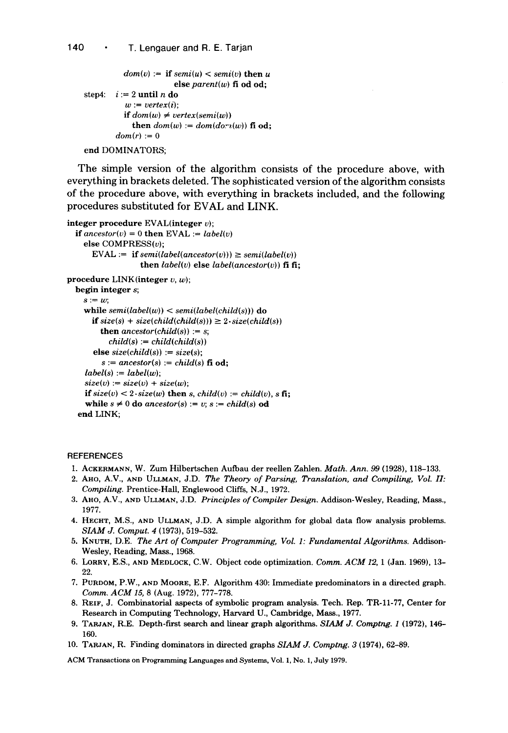```
dom(v) := if semi(u) < semi(v) then u
                       else parent(w) fi od od; 
step4: i := 2 until n do
          w := vertex(i);
          if dom(w) \neq vertex(semi(w))then dom(w) := dom(dor_1(w)) fi od:
        dom(r) := 0end DOMINATORS;
```
The simple version of the algorithm consists of the procedure above, with everything in brackets deleted. The sophisticated version of the algorithm consists of the procedure above, with everything in brackets included, and the following procedures substituted for EVAL and LINK.

```
integer procedure EVAL(integer v);
  if \mathit{ancestor}(v) = 0 then EVAL := label(v)else COMPRESS(v):
       EVAL := if semi(label(ancestor(v))) \ge semi(label(v))
                     then label(v) else label(ancestor(v)) fi fi;
procedure LINK(integer v, w);
  begin integer s; 
    s := w;
    while semi(label(w)) < semi(label(child(s))) do
       if size(s) + size(child(child(s))) \geq 2 \cdot size(child(s))then \text{ancestor}(\text{child}(s)) := s;
            child(s) := child(child(s)) 
       else size(child(s)) := size(s); 
          s := ancestor(s) := child(s) fi od;
     label(s) := label(w);size(v) := size(v) + size(w);if size(v) \lt 2. size(w) then s, child(v) := child(v), s fi;
     while s \neq 0 do ancestor(s) := v; s := \text{child}(s) od
   end LINK;
```
#### **REFERENCES**

- 1. ACKERMANN, W. Zum Hilbertschen Aufbau der reellen Zahlen~ *Math. Ann. 99* (1928), 118-133.
- 2. AHO, A.V., AND ULLMAN, J.D. *The Theory of Parsing, Translation, and Compiling, Vol. II: Compiling.* Prentice-Hall, Englewood Cliffs, N.J., 1972.
- 3. AHO, A.V., AND ULLMAN, J.D. *Principles of Compiler Design.* Addison-Wesley, Reading, Mass., 1977.
- 4. HECHT, M.S., AND ULLMAN, J.D. A simple algorithm for global data flow analysis problems. *SIAM J. Comput. 4* (1973), 519-532.
- 5. KNUTH, D.E. *The Art of Computer Programming, Vol. 1: Fundamental Algorithms.* Addison-Wesley, Reading, Mass., 1968.
- 6. LORRY, E.S., AND MEDLOCK, C.W. Object code optimization. *Comm. ACM/2,* 1 (Jan. 1969), 13- 22.
- 7. PURDOM, P.W., AND MOORE, E.F. Algorithm 430: Immediate predominators in a directed graph. *Comm. ACM 15,* 8 (Aug. 1972), 777-778.
- 8. REIF, J. Combinatorial aspects of symbolic program analysis. Tech. Rep. TR-11-77, Center for Research in Computing Technology, Harvard U., Cambridge, Mass., 1977.
- 9. TARJAN, R.E. Depth-first search and linear graph algorithms. *SIAM J. Comptng. 1* (1972), 146- 160.
- 10. TARJAN, R. Finding dominators in directed graphs *SIAM J. Comptng. 3* (1974), 62-89.